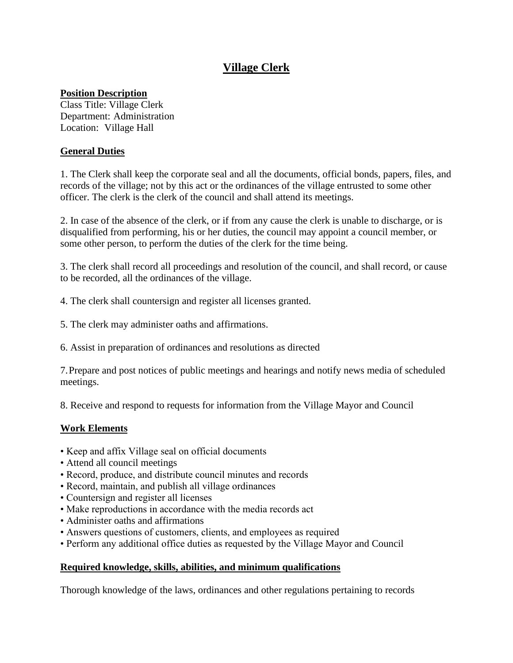# **Village Clerk**

## **Position Description**

Class Title: Village Clerk Department: Administration Location: Village Hall

# **General Duties**

1. The Clerk shall keep the corporate seal and all the documents, official bonds, papers, files, and records of the village; not by this act or the ordinances of the village entrusted to some other officer. The clerk is the clerk of the council and shall attend its meetings.

2. In case of the absence of the clerk, or if from any cause the clerk is unable to discharge, or is disqualified from performing, his or her duties, the council may appoint a council member, or some other person, to perform the duties of the clerk for the time being.

3. The clerk shall record all proceedings and resolution of the council, and shall record, or cause to be recorded, all the ordinances of the village.

- 4. The clerk shall countersign and register all licenses granted.
- 5. The clerk may administer oaths and affirmations.

6. Assist in preparation of ordinances and resolutions as directed

7.Prepare and post notices of public meetings and hearings and notify news media of scheduled meetings.

8. Receive and respond to requests for information from the Village Mayor and Council

# **Work Elements**

- Keep and affix Village seal on official documents
- Attend all council meetings
- Record, produce, and distribute council minutes and records
- Record, maintain, and publish all village ordinances
- Countersign and register all licenses
- Make reproductions in accordance with the media records act
- Administer oaths and affirmations
- Answers questions of customers, clients, and employees as required
- Perform any additional office duties as requested by the Village Mayor and Council

### **Required knowledge, skills, abilities, and minimum qualifications**

Thorough knowledge of the laws, ordinances and other regulations pertaining to records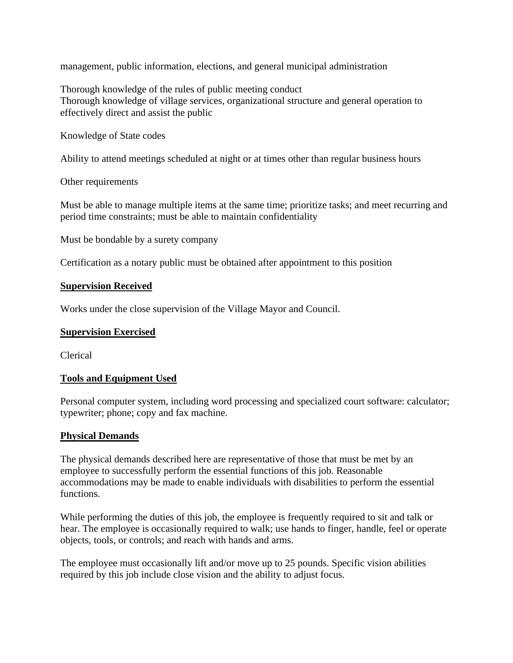management, public information, elections, and general municipal administration

Thorough knowledge of the rules of public meeting conduct Thorough knowledge of village services, organizational structure and general operation to effectively direct and assist the public

Knowledge of State codes

Ability to attend meetings scheduled at night or at times other than regular business hours

Other requirements

Must be able to manage multiple items at the same time; prioritize tasks; and meet recurring and period time constraints; must be able to maintain confidentiality

Must be bondable by a surety company

Certification as a notary public must be obtained after appointment to this position

#### **Supervision Received**

Works under the close supervision of the Village Mayor and Council.

#### **Supervision Exercised**

Clerical

### **Tools and Equipment Used**

Personal computer system, including word processing and specialized court software: calculator; typewriter; phone; copy and fax machine.

#### **Physical Demands**

The physical demands described here are representative of those that must be met by an employee to successfully perform the essential functions of this job. Reasonable accommodations may be made to enable individuals with disabilities to perform the essential functions.

While performing the duties of this job, the employee is frequently required to sit and talk or hear. The employee is occasionally required to walk; use hands to finger, handle, feel or operate objects, tools, or controls; and reach with hands and arms.

The employee must occasionally lift and/or move up to 25 pounds. Specific vision abilities required by this job include close vision and the ability to adjust focus.